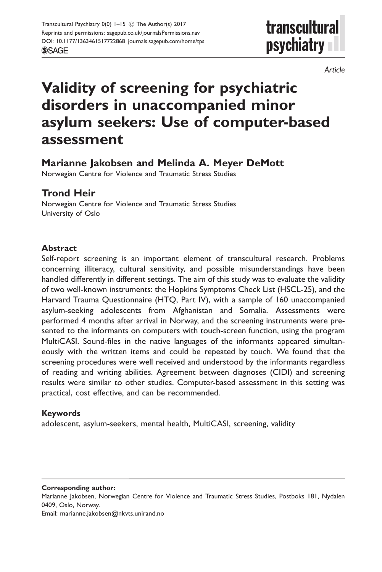

Article

# Validity of screening for psychiatric disorders in unaccompanied minor asylum seekers: Use of computer-based assessment

# Marianne Jakobsen and Melinda A. Meyer DeMott

Norwegian Centre for Violence and Traumatic Stress Studies

## Trond Heir

Norwegian Centre for Violence and Traumatic Stress Studies University of Oslo

## Abstract

Self-report screening is an important element of transcultural research. Problems concerning illiteracy, cultural sensitivity, and possible misunderstandings have been handled differently in different settings. The aim of this study was to evaluate the validity of two well-known instruments: the Hopkins Symptoms Check List (HSCL-25), and the Harvard Trauma Questionnaire (HTQ, Part IV), with a sample of 160 unaccompanied asylum-seeking adolescents from Afghanistan and Somalia. Assessments were performed 4 months after arrival in Norway, and the screening instruments were presented to the informants on computers with touch-screen function, using the program MultiCASI. Sound-files in the native languages of the informants appeared simultaneously with the written items and could be repeated by touch. We found that the screening procedures were well received and understood by the informants regardless of reading and writing abilities. Agreement between diagnoses (CIDI) and screening results were similar to other studies. Computer-based assessment in this setting was practical, cost effective, and can be recommended.

## Keywords

adolescent, asylum-seekers, mental health, MultiCASI, screening, validity

#### Corresponding author:

Marianne Jakobsen, Norwegian Centre for Violence and Traumatic Stress Studies, Postboks 181, Nydalen 0409, Oslo, Norway.

Email: marianne.jakobsen@nkvts.unirand.no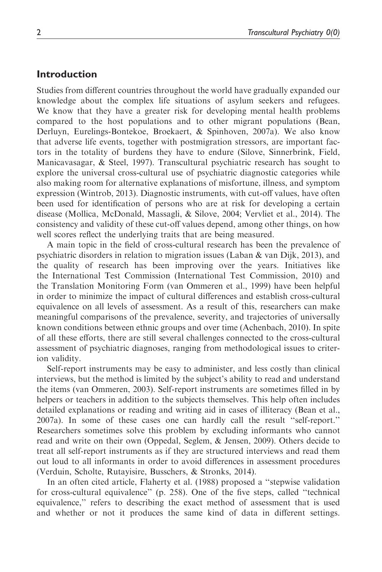## Introduction

Studies from different countries throughout the world have gradually expanded our knowledge about the complex life situations of asylum seekers and refugees. We know that they have a greater risk for developing mental health problems compared to the host populations and to other migrant populations (Bean, Derluyn, Eurelings-Bontekoe, Broekaert, & Spinhoven, 2007a). We also know that adverse life events, together with postmigration stressors, are important factors in the totality of burdens they have to endure (Silove, Sinnerbrink, Field, Manicavasagar, & Steel, 1997). Transcultural psychiatric research has sought to explore the universal cross-cultural use of psychiatric diagnostic categories while also making room for alternative explanations of misfortune, illness, and symptom expression (Wintrob, 2013). Diagnostic instruments, with cut-off values, have often been used for identification of persons who are at risk for developing a certain disease (Mollica, McDonald, Massagli, & Silove, 2004; Vervliet et al., 2014). The consistency and validity of these cut-off values depend, among other things, on how well scores reflect the underlying traits that are being measured.

A main topic in the field of cross-cultural research has been the prevalence of psychiatric disorders in relation to migration issues (Laban & van Dijk, 2013), and the quality of research has been improving over the years. Initiatives like the International Test Commission (International Test Commission, 2010) and the Translation Monitoring Form (van Ommeren et al., 1999) have been helpful in order to minimize the impact of cultural differences and establish cross-cultural equivalence on all levels of assessment. As a result of this, researchers can make meaningful comparisons of the prevalence, severity, and trajectories of universally known conditions between ethnic groups and over time (Achenbach, 2010). In spite of all these efforts, there are still several challenges connected to the cross-cultural assessment of psychiatric diagnoses, ranging from methodological issues to criterion validity.

Self-report instruments may be easy to administer, and less costly than clinical interviews, but the method is limited by the subject's ability to read and understand the items (van Ommeren, 2003). Self-report instruments are sometimes filled in by helpers or teachers in addition to the subjects themselves. This help often includes detailed explanations or reading and writing aid in cases of illiteracy (Bean et al., 2007a). In some of these cases one can hardly call the result ''self-report.'' Researchers sometimes solve this problem by excluding informants who cannot read and write on their own (Oppedal, Seglem, & Jensen, 2009). Others decide to treat all self-report instruments as if they are structured interviews and read them out loud to all informants in order to avoid differences in assessment procedures (Verduin, Scholte, Rutayisire, Busschers, & Stronks, 2014).

In an often cited article, Flaherty et al. (1988) proposed a ''stepwise validation for cross-cultural equivalence'' (p. 258). One of the five steps, called ''technical equivalence,'' refers to describing the exact method of assessment that is used and whether or not it produces the same kind of data in different settings.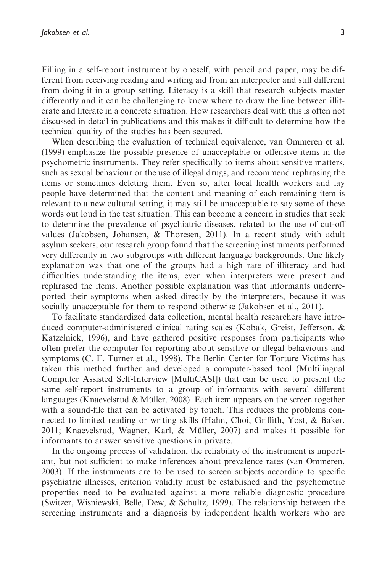Filling in a self-report instrument by oneself, with pencil and paper, may be different from receiving reading and writing aid from an interpreter and still different from doing it in a group setting. Literacy is a skill that research subjects master differently and it can be challenging to know where to draw the line between illiterate and literate in a concrete situation. How researchers deal with this is often not discussed in detail in publications and this makes it difficult to determine how the technical quality of the studies has been secured.

When describing the evaluation of technical equivalence, van Ommeren et al. (1999) emphasize the possible presence of unacceptable or offensive items in the psychometric instruments. They refer specifically to items about sensitive matters, such as sexual behaviour or the use of illegal drugs, and recommend rephrasing the items or sometimes deleting them. Even so, after local health workers and lay people have determined that the content and meaning of each remaining item is relevant to a new cultural setting, it may still be unacceptable to say some of these words out loud in the test situation. This can become a concern in studies that seek to determine the prevalence of psychiatric diseases, related to the use of cut-off values (Jakobsen, Johansen, & Thoresen, 2011). In a recent study with adult asylum seekers, our research group found that the screening instruments performed very differently in two subgroups with different language backgrounds. One likely explanation was that one of the groups had a high rate of illiteracy and had difficulties understanding the items, even when interpreters were present and rephrased the items. Another possible explanation was that informants underreported their symptoms when asked directly by the interpreters, because it was socially unacceptable for them to respond otherwise (Jakobsen et al., 2011).

To facilitate standardized data collection, mental health researchers have introduced computer-administered clinical rating scales (Kobak, Greist, Jefferson, & Katzelnick, 1996), and have gathered positive responses from participants who often prefer the computer for reporting about sensitive or illegal behaviours and symptoms (C. F. Turner et al., 1998). The Berlin Center for Torture Victims has taken this method further and developed a computer-based tool (Multilingual Computer Assisted Self-Interview [MultiCASI]) that can be used to present the same self-report instruments to a group of informants with several different languages (Knaevelsrud & Müller, 2008). Each item appears on the screen together with a sound-file that can be activated by touch. This reduces the problems connected to limited reading or writing skills (Hahn, Choi, Griffith, Yost, & Baker, 2011; Knaevelsrud, Wagner, Karl, & Müller, 2007) and makes it possible for informants to answer sensitive questions in private.

In the ongoing process of validation, the reliability of the instrument is important, but not sufficient to make inferences about prevalence rates (van Ommeren, 2003). If the instruments are to be used to screen subjects according to specific psychiatric illnesses, criterion validity must be established and the psychometric properties need to be evaluated against a more reliable diagnostic procedure (Switzer, Wisniewski, Belle, Dew, & Schultz, 1999). The relationship between the screening instruments and a diagnosis by independent health workers who are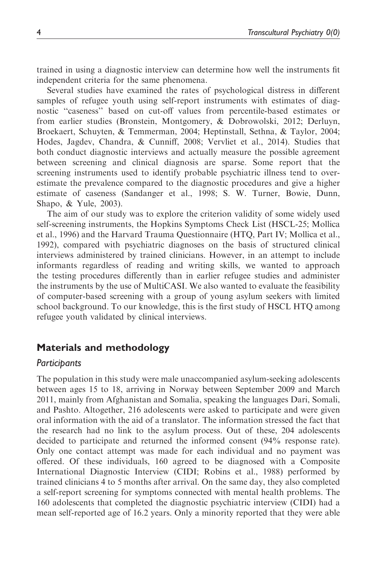trained in using a diagnostic interview can determine how well the instruments fit independent criteria for the same phenomena.

Several studies have examined the rates of psychological distress in different samples of refugee youth using self-report instruments with estimates of diagnostic ''caseness'' based on cut-off values from percentile-based estimates or from earlier studies (Bronstein, Montgomery, & Dobrowolski, 2012; Derluyn, Broekaert, Schuyten, & Temmerman, 2004; Heptinstall, Sethna, & Taylor, 2004; Hodes, Jagdev, Chandra, & Cunniff, 2008; Vervliet et al., 2014). Studies that both conduct diagnostic interviews and actually measure the possible agreement between screening and clinical diagnosis are sparse. Some report that the screening instruments used to identify probable psychiatric illness tend to overestimate the prevalence compared to the diagnostic procedures and give a higher estimate of caseness (Sandanger et al., 1998; S. W. Turner, Bowie, Dunn, Shapo, & Yule, 2003).

The aim of our study was to explore the criterion validity of some widely used self-screening instruments, the Hopkins Symptoms Check List (HSCL-25; Mollica et al., 1996) and the Harvard Trauma Questionnaire (HTQ, Part IV; Mollica et al., 1992), compared with psychiatric diagnoses on the basis of structured clinical interviews administered by trained clinicians. However, in an attempt to include informants regardless of reading and writing skills, we wanted to approach the testing procedures differently than in earlier refugee studies and administer the instruments by the use of MultiCASI. We also wanted to evaluate the feasibility of computer-based screening with a group of young asylum seekers with limited school background. To our knowledge, this is the first study of HSCL HTQ among refugee youth validated by clinical interviews.

## Materials and methodology

#### Participants

The population in this study were male unaccompanied asylum-seeking adolescents between ages 15 to 18, arriving in Norway between September 2009 and March 2011, mainly from Afghanistan and Somalia, speaking the languages Dari, Somali, and Pashto. Altogether, 216 adolescents were asked to participate and were given oral information with the aid of a translator. The information stressed the fact that the research had no link to the asylum process. Out of these, 204 adolescents decided to participate and returned the informed consent (94% response rate). Only one contact attempt was made for each individual and no payment was offered. Of these individuals, 160 agreed to be diagnosed with a Composite International Diagnostic Interview (CIDI; Robins et al., 1988) performed by trained clinicians 4 to 5 months after arrival. On the same day, they also completed a self-report screening for symptoms connected with mental health problems. The 160 adolescents that completed the diagnostic psychiatric interview (CIDI) had a mean self-reported age of 16.2 years. Only a minority reported that they were able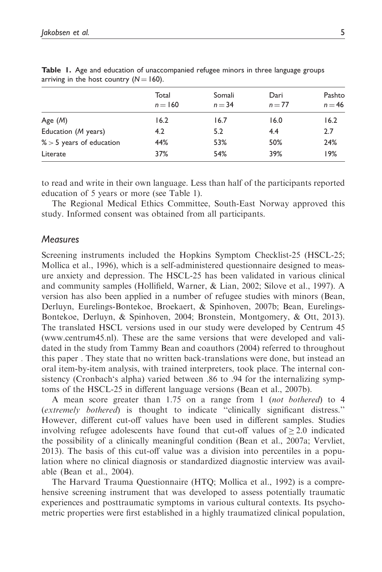|                            | Total<br>$n = 160$ | Somali<br>$n = 34$ | Dari<br>$n = 77$ | Pashto<br>$n = 46$ |
|----------------------------|--------------------|--------------------|------------------|--------------------|
| Age $(M)$                  | 16.2               | 16.7               | 16.0             | 16.2               |
| Education (M years)        | 4.2                | 5.2                | 4.4              | 2.7                |
| $% > 5$ years of education | 44%                | 53%                | 50%              | 24%                |
| Literate                   | 37%                | 54%                | 39%              | 19%                |

Table 1. Age and education of unaccompanied refugee minors in three language groups arriving in the host country  $(N = 160)$ .

to read and write in their own language. Less than half of the participants reported education of 5 years or more (see Table 1).

The Regional Medical Ethics Committee, South-East Norway approved this study. Informed consent was obtained from all participants.

#### **Measures**

Screening instruments included the Hopkins Symptom Checklist-25 (HSCL-25; Mollica et al., 1996), which is a self-administered questionnaire designed to measure anxiety and depression. The HSCL-25 has been validated in various clinical and community samples (Hollifield, Warner, & Lian, 2002; Silove et al., 1997). A version has also been applied in a number of refugee studies with minors (Bean, Derluyn, Eurelings-Bontekoe, Broekaert, & Spinhoven, 2007b; Bean, Eurelings-Bontekoe, Derluyn, & Spinhoven, 2004; Bronstein, Montgomery, & Ott, 2013). The translated HSCL versions used in our study were developed by Centrum 45 ([www.centrum45.nl\)](www.centrum45.nl). These are the same versions that were developed and validated in the study from Tammy Bean and coauthors (2004) referred to throughout this paper . They state that no written back-translations were done, but instead an oral item-by-item analysis, with trained interpreters, took place. The internal consistency (Cronbach's alpha) varied between .86 to .94 for the internalizing symptoms of the HSCL-25 in different language versions (Bean et al., 2007b).

A mean score greater than 1.75 on a range from 1 (not bothered) to 4 (extremely bothered) is thought to indicate ''clinically significant distress.'' However, different cut-off values have been used in different samples. Studies involving refugee adolescents have found that cut-off values of  $\geq 2.0$  indicated the possibility of a clinically meaningful condition (Bean et al., 2007a; Vervliet, 2013). The basis of this cut-off value was a division into percentiles in a population where no clinical diagnosis or standardized diagnostic interview was available (Bean et al., 2004).

The Harvard Trauma Questionnaire (HTQ; Mollica et al., 1992) is a comprehensive screening instrument that was developed to assess potentially traumatic experiences and posttraumatic symptoms in various cultural contexts. Its psychometric properties were first established in a highly traumatized clinical population,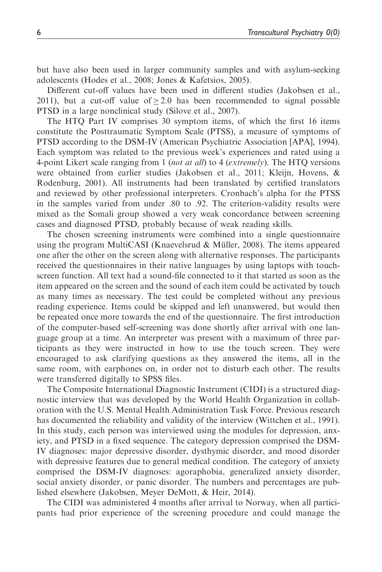but have also been used in larger community samples and with asylum-seeking adolescents (Hodes et al., 2008; Jones & Kafetsios, 2005).

Different cut-off values have been used in different studies (Jakobsen et al., 2011), but a cut-off value of  $\geq 2.0$  has been recommended to signal possible PTSD in a large nonclinical study (Silove et al., 2007).

The HTQ Part IV comprises 30 symptom items, of which the first 16 items constitute the Posttraumatic Symptom Scale (PTSS), a measure of symptoms of PTSD according to the DSM-IV (American Psychiatric Association [APA], 1994). Each symptom was related to the previous week's experiences and rated using a 4-point Likert scale ranging from 1 *(not at all)* to 4 *(extremely)*. The HTQ versions were obtained from earlier studies (Jakobsen et al., 2011; Kleijn, Hovens, & Rodenburg, 2001). All instruments had been translated by certified translators and reviewed by other professional interpreters. Cronbach's alpha for the PTSS in the samples varied from under .80 to .92. The criterion-validity results were mixed as the Somali group showed a very weak concordance between screening cases and diagnosed PTSD, probably because of weak reading skills.

The chosen screening instruments were combined into a single questionnaire using the program MultiCASI (Knaevelsrud  $&$  Müller, 2008). The items appeared one after the other on the screen along with alternative responses. The participants received the questionnaires in their native languages by using laptops with touchscreen function. All text had a sound-file connected to it that started as soon as the item appeared on the screen and the sound of each item could be activated by touch as many times as necessary. The test could be completed without any previous reading experience. Items could be skipped and left unanswered, but would then be repeated once more towards the end of the questionnaire. The first introduction of the computer-based self-screening was done shortly after arrival with one language group at a time. An interpreter was present with a maximum of three participants as they were instructed in how to use the touch screen. They were encouraged to ask clarifying questions as they answered the items, all in the same room, with earphones on, in order not to disturb each other. The results were transferred digitally to SPSS files.

The Composite International Diagnostic Instrument (CIDI) is a structured diagnostic interview that was developed by the World Health Organization in collaboration with the U.S. Mental Health Administration Task Force. Previous research has documented the reliability and validity of the interview (Wittchen et al., 1991). In this study, each person was interviewed using the modules for depression, anxiety, and PTSD in a fixed sequence. The category depression comprised the DSM-IV diagnoses: major depressive disorder, dysthymic disorder, and mood disorder with depressive features due to general medical condition. The category of anxiety comprised the DSM-IV diagnoses: agoraphobia, generalized anxiety disorder, social anxiety disorder, or panic disorder. The numbers and percentages are published elsewhere (Jakobsen, Meyer DeMott, & Heir, 2014).

The CIDI was administered 4 months after arrival to Norway, when all participants had prior experience of the screening procedure and could manage the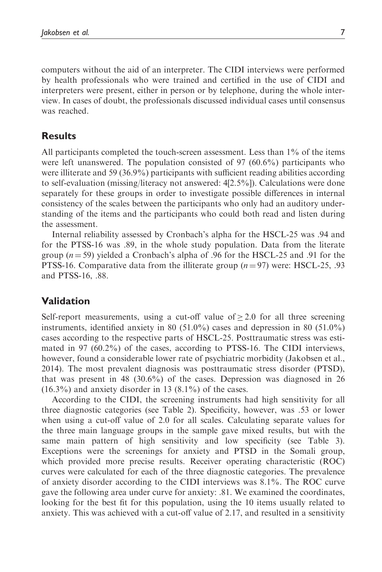computers without the aid of an interpreter. The CIDI interviews were performed by health professionals who were trained and certified in the use of CIDI and interpreters were present, either in person or by telephone, during the whole interview. In cases of doubt, the professionals discussed individual cases until consensus was reached.

#### **Results**

All participants completed the touch-screen assessment. Less than 1% of the items were left unanswered. The population consisted of 97 (60.6%) participants who were illiterate and 59 (36.9%) participants with sufficient reading abilities according to self-evaluation (missing/literacy not answered: 4[2.5%]). Calculations were done separately for these groups in order to investigate possible differences in internal consistency of the scales between the participants who only had an auditory understanding of the items and the participants who could both read and listen during the assessment.

Internal reliability assessed by Cronbach's alpha for the HSCL-25 was .94 and for the PTSS-16 was .89, in the whole study population. Data from the literate group  $(n = 59)$  yielded a Cronbach's alpha of .96 for the HSCL-25 and .91 for the PTSS-16. Comparative data from the illiterate group  $(n = 97)$  were: HSCL-25, .93 and PTSS-16, .88.

## Validation

Self-report measurements, using a cut-off value of  $\geq 2.0$  for all three screening instruments, identified anxiety in 80 (51.0%) cases and depression in 80 (51.0%) cases according to the respective parts of HSCL-25. Posttraumatic stress was estimated in 97 (60.2%) of the cases, according to PTSS-16. The CIDI interviews, however, found a considerable lower rate of psychiatric morbidity (Jakobsen et al., 2014). The most prevalent diagnosis was posttraumatic stress disorder (PTSD), that was present in 48 (30.6%) of the cases. Depression was diagnosed in 26  $(16.3\%)$  and anxiety disorder in 13  $(8.1\%)$  of the cases.

According to the CIDI, the screening instruments had high sensitivity for all three diagnostic categories (see Table 2). Specificity, however, was .53 or lower when using a cut-off value of 2.0 for all scales. Calculating separate values for the three main language groups in the sample gave mixed results, but with the same main pattern of high sensitivity and low specificity (see Table 3). Exceptions were the screenings for anxiety and PTSD in the Somali group, which provided more precise results. Receiver operating characteristic (ROC) curves were calculated for each of the three diagnostic categories. The prevalence of anxiety disorder according to the CIDI interviews was 8.1%. The ROC curve gave the following area under curve for anxiety: .81. We examined the coordinates, looking for the best fit for this population, using the 10 items usually related to anxiety. This was achieved with a cut-off value of 2.17, and resulted in a sensitivity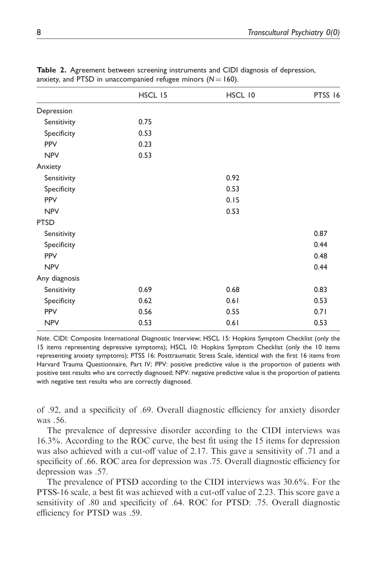|               | HSCL 15 | HSCL 10 | PTSS 16 |  |
|---------------|---------|---------|---------|--|
| Depression    |         |         |         |  |
| Sensitivity   | 0.75    |         |         |  |
| Specificity   | 0.53    |         |         |  |
| <b>PPV</b>    | 0.23    |         |         |  |
| <b>NPV</b>    | 0.53    |         |         |  |
| Anxiety       |         |         |         |  |
| Sensitivity   |         | 0.92    |         |  |
| Specificity   |         | 0.53    |         |  |
| PPV           |         | 0.15    |         |  |
| <b>NPV</b>    |         | 0.53    |         |  |
| <b>PTSD</b>   |         |         |         |  |
| Sensitivity   |         |         | 0.87    |  |
| Specificity   |         |         | 0.44    |  |
| <b>PPV</b>    |         |         | 0.48    |  |
| <b>NPV</b>    |         |         | 0.44    |  |
| Any diagnosis |         |         |         |  |
| Sensitivity   | 0.69    | 0.68    | 0.83    |  |
| Specificity   | 0.62    | 0.61    | 0.53    |  |
| PPV           | 0.56    | 0.55    | 0.71    |  |
| <b>NPV</b>    | 0.53    | 0.61    | 0.53    |  |
|               |         |         |         |  |

Table 2. Agreement between screening instruments and CIDI diagnosis of depression, anxiety, and PTSD in unaccompanied refugee minors  $(N = 160)$ .

Note. CIDI: Composite International Diagnostic Interview; HSCL 15: Hopkins Symptom Checklist (only the 15 items representing depressive symptoms); HSCL 10: Hopkins Symptom Checklist (only the 10 items representing anxiety symptoms); PTSS 16: Posttraumatic Stress Scale, identical with the first 16 items from Harvard Trauma Questionnaire, Part IV; PPV: positive predictive value is the proportion of patients with positive test results who are correctly diagnosed; NPV: negative predictive value is the proportion of patients with negative test results who are correctly diagnosed.

of .92, and a specificity of .69. Overall diagnostic efficiency for anxiety disorder was .56.

The prevalence of depressive disorder according to the CIDI interviews was 16.3%. According to the ROC curve, the best fit using the 15 items for depression was also achieved with a cut-off value of 2.17. This gave a sensitivity of .71 and a specificity of .66. ROC area for depression was .75. Overall diagnostic efficiency for depression was .57.

The prevalence of PTSD according to the CIDI interviews was 30.6%. For the PTSS-16 scale, a best fit was achieved with a cut-off value of 2.23. This score gave a sensitivity of .80 and specificity of .64. ROC for PTSD: .75. Overall diagnostic efficiency for PTSD was .59.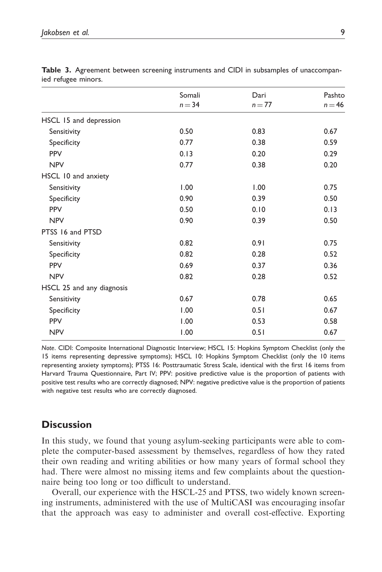|                           | Somali<br>$n = 34$ | Dari<br>$n = 77$ | Pashto<br>$n = 46$ |
|---------------------------|--------------------|------------------|--------------------|
|                           |                    |                  |                    |
| HSCL 15 and depression    |                    |                  |                    |
| Sensitivity               | 0.50               | 0.83             | 0.67               |
| Specificity               | 0.77               | 0.38             | 0.59               |
| <b>PPV</b>                | 0.13               | 0.20             | 0.29               |
| <b>NPV</b>                | 0.77               | 0.38             | 0.20               |
| HSCL 10 and anxiety       |                    |                  |                    |
| Sensitivity               | 1.00               | 1.00             | 0.75               |
| Specificity               | 0.90               | 0.39             | 0.50               |
| <b>PPV</b>                | 0.50               | 0.10             | 0.13               |
| <b>NPV</b>                | 0.90               | 0.39             | 0.50               |
| PTSS 16 and PTSD          |                    |                  |                    |
| Sensitivity               | 0.82               | 0.91             | 0.75               |
| Specificity               | 0.82               | 0.28             | 0.52               |
| <b>PPV</b>                | 0.69               | 0.37             | 0.36               |
| <b>NPV</b>                | 0.82               | 0.28             | 0.52               |
| HSCL 25 and any diagnosis |                    |                  |                    |
| Sensitivity               | 0.67               | 0.78             | 0.65               |
| Specificity               | 1.00               | 0.51             | 0.67               |
| <b>PPV</b>                | 1.00               | 0.53             | 0.58               |
| <b>NPV</b>                | 1.00               | 0.51             | 0.67               |
|                           |                    |                  |                    |

Table 3. Agreement between screening instruments and CIDI in subsamples of unaccompanied refugee minors.

Note. CIDI: Composite International Diagnostic Interview; HSCL 15: Hopkins Symptom Checklist (only the 15 items representing depressive symptoms); HSCL 10: Hopkins Symptom Checklist (only the 10 items representing anxiety symptoms); PTSS 16: Posttraumatic Stress Scale, identical with the first 16 items from Harvard Trauma Questionnaire, Part IV; PPV: positive predictive value is the proportion of patients with positive test results who are correctly diagnosed; NPV: negative predictive value is the proportion of patients with negative test results who are correctly diagnosed.

## **Discussion**

In this study, we found that young asylum-seeking participants were able to complete the computer-based assessment by themselves, regardless of how they rated their own reading and writing abilities or how many years of formal school they had. There were almost no missing items and few complaints about the questionnaire being too long or too difficult to understand.

Overall, our experience with the HSCL-25 and PTSS, two widely known screening instruments, administered with the use of MultiCASI was encouraging insofar that the approach was easy to administer and overall cost-effective. Exporting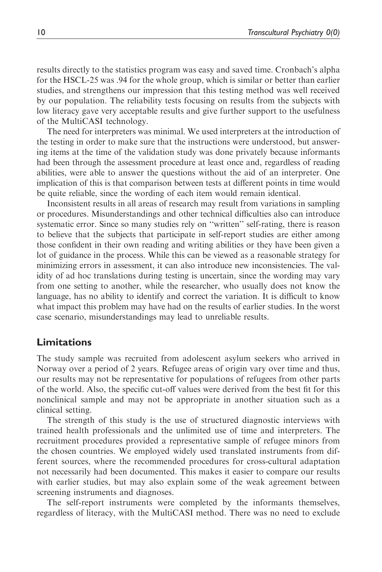results directly to the statistics program was easy and saved time. Cronbach's alpha for the HSCL-25 was .94 for the whole group, which is similar or better than earlier studies, and strengthens our impression that this testing method was well received by our population. The reliability tests focusing on results from the subjects with low literacy gave very acceptable results and give further support to the usefulness of the MultiCASI technology.

The need for interpreters was minimal. We used interpreters at the introduction of the testing in order to make sure that the instructions were understood, but answering items at the time of the validation study was done privately because informants had been through the assessment procedure at least once and, regardless of reading abilities, were able to answer the questions without the aid of an interpreter. One implication of this is that comparison between tests at different points in time would be quite reliable, since the wording of each item would remain identical.

Inconsistent results in all areas of research may result from variations in sampling or procedures. Misunderstandings and other technical difficulties also can introduce systematic error. Since so many studies rely on ''written'' self-rating, there is reason to believe that the subjects that participate in self-report studies are either among those confident in their own reading and writing abilities or they have been given a lot of guidance in the process. While this can be viewed as a reasonable strategy for minimizing errors in assessment, it can also introduce new inconsistencies. The validity of ad hoc translations during testing is uncertain, since the wording may vary from one setting to another, while the researcher, who usually does not know the language, has no ability to identify and correct the variation. It is difficult to know what impact this problem may have had on the results of earlier studies. In the worst case scenario, misunderstandings may lead to unreliable results.

#### Limitations

The study sample was recruited from adolescent asylum seekers who arrived in Norway over a period of 2 years. Refugee areas of origin vary over time and thus, our results may not be representative for populations of refugees from other parts of the world. Also, the specific cut-off values were derived from the best fit for this nonclinical sample and may not be appropriate in another situation such as a clinical setting.

The strength of this study is the use of structured diagnostic interviews with trained health professionals and the unlimited use of time and interpreters. The recruitment procedures provided a representative sample of refugee minors from the chosen countries. We employed widely used translated instruments from different sources, where the recommended procedures for cross-cultural adaptation not necessarily had been documented. This makes it easier to compare our results with earlier studies, but may also explain some of the weak agreement between screening instruments and diagnoses.

The self-report instruments were completed by the informants themselves, regardless of literacy, with the MultiCASI method. There was no need to exclude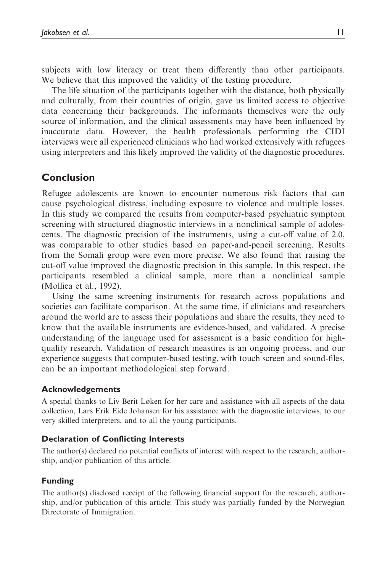subjects with low literacy or treat them differently than other participants. We believe that this improved the validity of the testing procedure.

The life situation of the participants together with the distance, both physically and culturally, from their countries of origin, gave us limited access to objective data concerning their backgrounds. The informants themselves were the only source of information, and the clinical assessments may have been influenced by inaccurate data. However, the health professionals performing the CIDI interviews were all experienced clinicians who had worked extensively with refugees using interpreters and this likely improved the validity of the diagnostic procedures.

## Conclusion

Refugee adolescents are known to encounter numerous risk factors that can cause psychological distress, including exposure to violence and multiple losses. In this study we compared the results from computer-based psychiatric symptom screening with structured diagnostic interviews in a nonclinical sample of adolescents. The diagnostic precision of the instruments, using a cut-off value of 2.0, was comparable to other studies based on paper-and-pencil screening. Results from the Somali group were even more precise. We also found that raising the cut-off value improved the diagnostic precision in this sample. In this respect, the participants resembled a clinical sample, more than a nonclinical sample (Mollica et al., 1992).

Using the same screening instruments for research across populations and societies can facilitate comparison. At the same time, if clinicians and researchers around the world are to assess their populations and share the results, they need to know that the available instruments are evidence-based, and validated. A precise understanding of the language used for assessment is a basic condition for highquality research. Validation of research measures is an ongoing process, and our experience suggests that computer-based testing, with touch screen and sound-files, can be an important methodological step forward.

#### Acknowledgements

A special thanks to Liv Berit Løken for her care and assistance with all aspects of the data collection, Lars Erik Eide Johansen for his assistance with the diagnostic interviews, to our very skilled interpreters, and to all the young participants.

#### Declaration of Conflicting Interests

The author(s) declared no potential conflicts of interest with respect to the research, authorship, and/or publication of this article.

#### Funding

The author(s) disclosed receipt of the following financial support for the research, authorship, and/or publication of this article: This study was partially funded by the Norwegian Directorate of Immigration.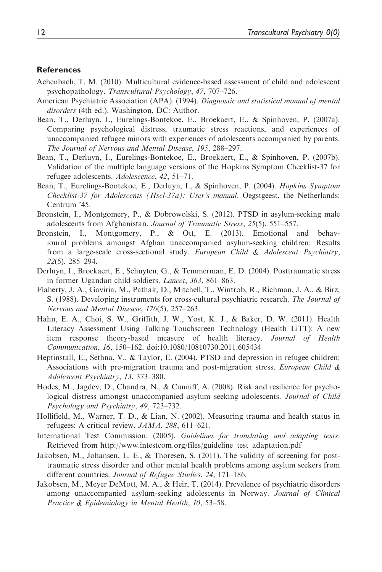#### **References**

- Achenbach, T. M. (2010). Multicultural evidence-based assessment of child and adolescent psychopathology. Transcultural Psychology, 47, 707–726.
- American Psychiatric Association (APA). (1994). Diagnostic and statistical manual of mental disorders (4th ed.). Washington, DC: Author.
- Bean, T., Derluyn, I., Eurelings-Bontekoe, E., Broekaert, E., & Spinhoven, P. (2007a). Comparing psychological distress, traumatic stress reactions, and experiences of unaccompanied refugee minors with experiences of adolescents accompanied by parents. The Journal of Nervous and Mental Disease, 195, 288–297.
- Bean, T., Derluyn, I., Eurelings-Bontekoe, E., Broekaert, E., & Spinhoven, P. (2007b). Validation of the multiple language versions of the Hopkins Symptom Checklist-37 for refugee adolescents. Adolescence, 42, 51–71.
- Bean, T., Eurelings-Bontekoe, E., Derluyn, I., & Spinhoven, P. (2004). *Hopkins Symptom* Checklist-37 for Adolescents (Hscl-37a): User's manual. Oegstgeest, the Netherlands: Centrum '45.
- Bronstein, I., Montgomery, P., & Dobrowolski, S. (2012). PTSD in asylum-seeking male adolescents from Afghanistan. Journal of Traumatic Stress, 25(5), 551–557.
- Bronstein, I., Montgomery, P., & Ott, E. (2013). Emotional and behavioural problems amongst Afghan unaccompanied asylum-seeking children: Results from a large-scale cross-sectional study. European Child & Adolescent Psychiatry, 22(5), 285–294.
- Derluyn, I., Broekaert, E., Schuyten, G., & Temmerman, E. D. (2004). Posttraumatic stress in former Ugandan child soldiers. Lancet, 363, 861–863.
- Flaherty, J. A., Gaviria, M., Pathak, D., Mitchell, T., Wintrob, R., Richman, J. A., & Birz, S. (1988). Developing instruments for cross-cultural psychiatric research. The Journal of Nervous and Mental Disease, 176(5), 257–263.
- Hahn, E. A., Choi, S. W., Griffith, J. W., Yost, K. J., & Baker, D. W. (2011). Health Literacy Assessment Using Talking Touchscreen Technology (Health LiTT): A new item response theory-based measure of health literacy. Journal of Health Communication, 16, 150–162. doi:10.1080/10810730.2011.605434
- Heptinstall, E., Sethna, V., & Taylor, E. (2004). PTSD and depression in refugee children: Associations with pre-migration trauma and post-migration stress. *European Child &* Adolescent Psychiatry, 13, 373–380.
- Hodes, M., Jagdev, D., Chandra, N., & Cunniff, A. (2008). Risk and resilience for psychological distress amongst unaccompanied asylum seeking adolescents. Journal of Child Psychology and Psychiatry, 49, 723–732.
- Hollifield, M., Warner, T. D., & Lian, N. (2002). Measuring trauma and health status in refugees: A critical review. JAMA, 288, 611–621.
- International Test Commission. (2005). Guidelines for translating and adapting tests. Retrieved from [http://www.intestcom.org/files/guideline\\_test\\_adaptation.pdf](http://www.intestcom.org/files/guideline_test_adaptation.pdf)
- Jakobsen, M., Johansen, L. E., & Thoresen, S. (2011). The validity of screening for posttraumatic stress disorder and other mental health problems among asylum seekers from different countries. Journal of Refugee Studies, 24, 171-186.
- Jakobsen, M., Meyer DeMott, M. A., & Heir, T. (2014). Prevalence of psychiatric disorders among unaccompanied asylum-seeking adolescents in Norway. Journal of Clinical Practice & Epidemiology in Mental Health, 10, 53–58.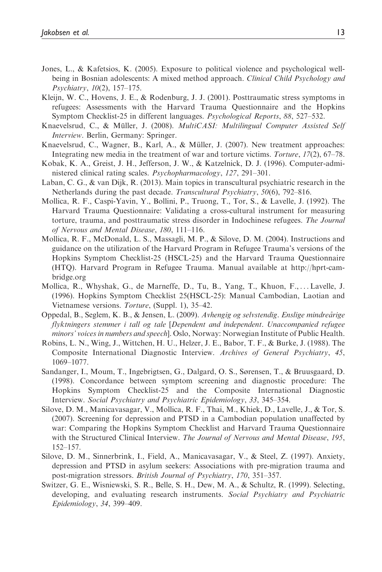- Jones, L., & Kafetsios, K. (2005). Exposure to political violence and psychological wellbeing in Bosnian adolescents: A mixed method approach. Clinical Child Psychology and Psychiatry, 10(2), 157–175.
- Kleijn, W. C., Hovens, J. E., & Rodenburg, J. J. (2001). Posttraumatic stress symptoms in refugees: Assessments with the Harvard Trauma Questionnaire and the Hopkins Symptom Checklist-25 in different languages. Psychological Reports, 88, 527–532.
- Knaevelsrud, C., & Müller, J. (2008). MultiCASI: Multilingual Computer Assisted Self Interview. Berlin, Germany: Springer.
- Knaevelsrud, C., Wagner, B., Karl, A., & Müller, J. (2007). New treatment approaches: Integrating new media in the treatment of war and torture victims. Torture, 17(2), 67–78.
- Kobak, K. A., Greist, J. H., Jefferson, J. W., & Katzelnick, D. J. (1996). Computer-administered clinical rating scales. Psychopharmacology, 127, 291–301.
- Laban, C. G., & van Dijk, R. (2013). Main topics in transcultural psychiatric research in the Netherlands during the past decade. *Transcultural Psychiatry, 50(6), 792–816*.
- Mollica, R. F., Caspi-Yavin, Y., Bollini, P., Truong, T., Tor, S., & Lavelle, J. (1992). The Harvard Trauma Questionnaire: Validating a cross-cultural instrument for measuring torture, trauma, and posttraumatic stress disorder in Indochinese refugees. The Journal of Nervous and Mental Disease, 180, 111–116.
- Mollica, R. F., McDonald, L. S., Massagli, M. P., & Silove, D. M. (2004). Instructions and guidance on the utilization of the Harvard Program in Refugee Trauma's versions of the Hopkins Symptom Checklist-25 (HSCL-25) and the Harvard Trauma Questionnaire (HTQ). Harvard Program in Refugee Trauma. Manual available at [http://hprt-cam](http://hprt-cambridge.org)[bridge.org](http://hprt-cambridge.org)
- Mollica, R., Whyshak, G., de Marneffe, D., Tu, B., Yang, T., Khuon, F., ...Lavelle, J. (1996). Hopkins Symptom Checklist 25(HSCL-25): Manual Cambodian, Laotian and Vietnamese versions. Torture, (Suppl. 1), 35–42.
- Oppedal, B., Seglem, K. B., & Jensen, L. (2009). Avhengig og selvstendig. Enslige mindreårige flyktningers stemmer i tall og tale [Dependent and independent. Unaccompanied refugee minors' voices in numbers and speech]. Oslo, Norway: Norwegian Institute of Public Health.
- Robins, L. N., Wing, J., Wittchen, H. U., Helzer, J. E., Babor, T. F., & Burke, J. (1988). The Composite International Diagnostic Interview. Archives of General Psychiatry, 45, 1069–1077.
- Sandanger, I., Moum, T., Ingebrigtsen, G., Dalgard, O. S., Sørensen, T., & Bruusgaard, D. (1998). Concordance between symptom screening and diagnostic procedure: The Hopkins Symptom Checklist-25 and the Composite International Diagnostic Interview. Social Psychiatry and Psychiatric Epidemiology, 33, 345–354.
- Silove, D. M., Manicavasagar, V., Mollica, R. F., Thai, M., Khiek, D., Lavelle, J., & Tor, S. (2007). Screening for depression and PTSD in a Cambodian population unaffected by war: Comparing the Hopkins Symptom Checklist and Harvard Trauma Questionnaire with the Structured Clinical Interview. The Journal of Nervous and Mental Disease, 195, 152–157.
- Silove, D. M., Sinnerbrink, I., Field, A., Manicavasagar, V., & Steel, Z. (1997). Anxiety, depression and PTSD in asylum seekers: Associations with pre-migration trauma and post-migration stressors. British Journal of Psychiatry, 170, 351–357.
- Switzer, G. E., Wisniewski, S. R., Belle, S. H., Dew, M. A., & Schultz, R. (1999). Selecting, developing, and evaluating research instruments. Social Psychiatry and Psychiatric Epidemiology, 34, 399–409.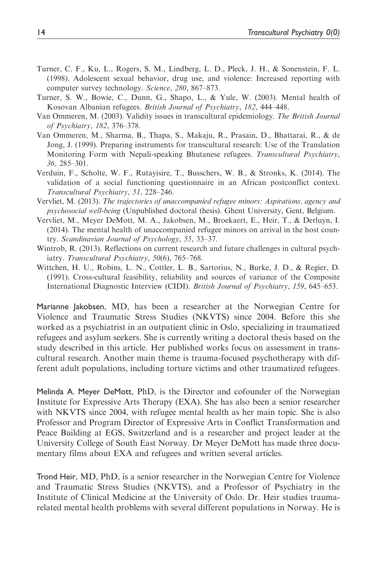- Turner, C. F., Ku, L., Rogers, S. M., Lindberg, L. D., Pleck, J. H., & Sonenstein, F. L. (1998). Adolescent sexual behavior, drug use, and violence: Increased reporting with computer survey technology. Science, 280, 867-873.
- Turner, S. W., Bowie, C., Dunn, G., Shapo, L., & Yule, W. (2003). Mental health of Kosovan Albanian refugees. British Journal of Psychiatry, 182, 444–448.
- Van Ommeren, M. (2003). Validity issues in transcultural epidemiology. The British Journal of Psychiatry, 182, 376–378.
- Van Ommeren, M., Sharma, B., Thapa, S., Makaju, R., Prasain, D., Bhattarai, R., & de Jong, J. (1999). Preparing instruments for transcultural research: Use of the Translation Monitoring Form with Nepali-speaking Bhutanese refugees. Transcultural Psychiatry, 36, 285–301.
- Verduin, F., Scholte, W. F., Rutayisire, T., Busschers, W. B., & Stronks, K. (2014). The validation of a social functioning questionnaire in an African postconflict context. Transcultural Psychiatry, 51, 228–246.
- Vervliet, M. (2013). The trajectories of unaccompanied refugee minors: Aspirations, agency and psychosocial well-being (Unpublished doctoral thesis). Ghent University, Gent, Belgium.
- Vervliet, M., Meyer DeMott, M. A., Jakobsen, M., Broekaert, E., Heir, T., & Derluyn, I. (2014). The mental health of unaccompanied refugee minors on arrival in the host country. Scandinavian Journal of Psychology, 55, 33–37.
- Wintrob, R. (2013). Reflections on current research and future challenges in cultural psychiatry. Transcultural Psychiatry, 50(6), 765-768.
- Wittchen, H. U., Robins, L. N., Cottler, L. B., Sartorius, N., Burke, J. D., & Regier, D. (1991). Cross-cultural feasibility, reliability and sources of variance of the Composite International Diagnostic Interview (CIDI). British Journal of Psychiatry, 159, 645–653.

Marianne Jakobsen, MD, has been a researcher at the Norwegian Centre for Violence and Traumatic Stress Studies (NKVTS) since 2004. Before this she worked as a psychiatrist in an outpatient clinic in Oslo, specializing in traumatized refugees and asylum seekers. She is currently writing a doctoral thesis based on the study described in this article. Her published works focus on assessment in transcultural research. Another main theme is trauma-focused psychotherapy with different adult populations, including torture victims and other traumatized refugees.

Melinda A. Meyer DeMott, PhD, is the Director and cofounder of the Norwegian Institute for Expressive Arts Therapy (EXA). She has also been a senior researcher with NKVTS since 2004, with refugee mental health as her main topic. She is also Professor and Program Director of Expressive Arts in Conflict Transformation and Peace Building at EGS, Switzerland and is a researcher and project leader at the University College of South East Norway. Dr Meyer DeMott has made three documentary films about EXA and refugees and written several articles.

Trond Heir, MD, PhD, is a senior researcher in the Norwegian Centre for Violence and Traumatic Stress Studies (NKVTS), and a Professor of Psychiatry in the Institute of Clinical Medicine at the University of Oslo. Dr. Heir studies traumarelated mental health problems with several different populations in Norway. He is